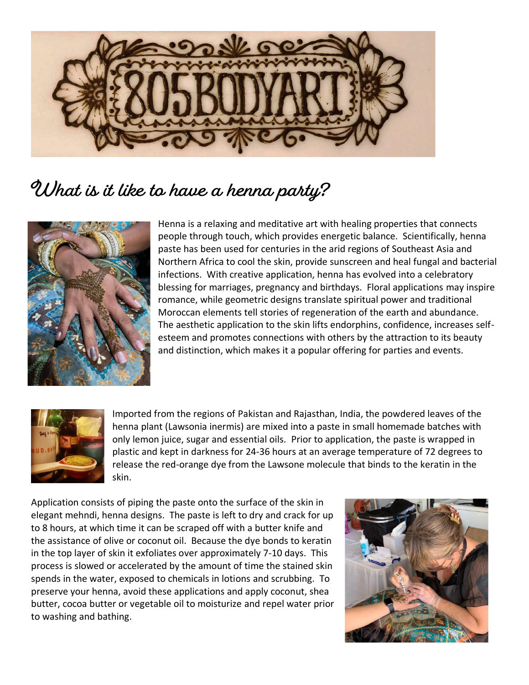

## **What is it like to have a henna party?**



Henna is a relaxing and meditative art with healing properties that connects people through touch, which provides energetic balance. Scientifically, henna paste has been used for centuries in the arid regions of Southeast Asia and Northern Africa to cool the skin, provide sunscreen and heal fungal and bacterial infections. With creative application, henna has evolved into a celebratory blessing for marriages, pregnancy and birthdays. Floral applications may inspire romance, while geometric designs translate spiritual power and traditional Moroccan elements tell stories of regeneration of the earth and abundance. The aesthetic application to the skin lifts endorphins, confidence, increases selfesteem and promotes connections with others by the attraction to its beauty and distinction, which makes it a popular offering for parties and events.



Imported from the regions of Pakistan and Rajasthan, India, the powdered leaves of the henna plant (Lawsonia inermis) are mixed into a paste in small homemade batches with only lemon juice, sugar and essential oils. Prior to application, the paste is wrapped in plastic and kept in darkness for 24-36 hours at an average temperature of 72 degrees to release the red-orange dye from the Lawsone molecule that binds to the keratin in the skin.

Application consists of piping the paste onto the surface of the skin in elegant mehndi, henna designs. The paste is left to dry and crack for up to 8 hours, at which time it can be scraped off with a butter knife and the assistance of olive or coconut oil. Because the dye bonds to keratin in the top layer of skin it exfoliates over approximately 7-10 days. This process is slowed or accelerated by the amount of time the stained skin spends in the water, exposed to chemicals in lotions and scrubbing. To preserve your henna, avoid these applications and apply coconut, shea butter, cocoa butter or vegetable oil to moisturize and repel water prior to washing and bathing.